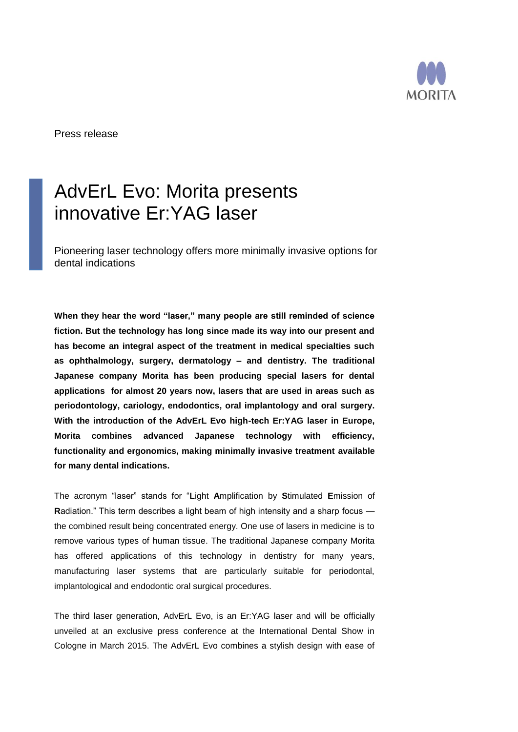

Press release

## AdvErL Evo: Morita presents innovative Er:YAG laser

Pioneering laser technology offers more minimally invasive options for dental indications

**When they hear the word "laser," many people are still reminded of science fiction. But the technology has long since made its way into our present and has become an integral aspect of the treatment in medical specialties such as ophthalmology, surgery, dermatology – and dentistry. The traditional Japanese company Morita has been producing special lasers for dental applications for almost 20 years now, lasers that are used in areas such as periodontology, cariology, endodontics, oral implantology and oral surgery. With the introduction of the AdvErL Evo high-tech Er:YAG laser in Europe, Morita combines advanced Japanese technology with efficiency, functionality and ergonomics, making minimally invasive treatment available for many dental indications.** 

The acronym "laser" stands for "**L**ight **A**mplification by **S**timulated **E**mission of **R**adiation." This term describes a light beam of high intensity and a sharp focus the combined result being concentrated energy. One use of lasers in medicine is to remove various types of human tissue. The traditional Japanese company Morita has offered applications of this technology in dentistry for many years, manufacturing laser systems that are particularly suitable for periodontal, implantological and endodontic oral surgical procedures.

The third laser generation, AdvErL Evo, is an Er:YAG laser and will be officially unveiled at an exclusive press conference at the International Dental Show in Cologne in March 2015. The AdvErL Evo combines a stylish design with ease of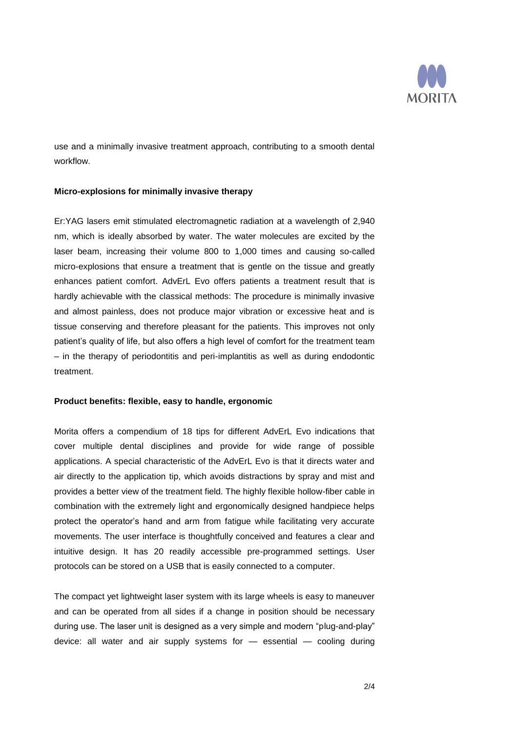

use and a minimally invasive treatment approach, contributing to a smooth dental workflow.

## **Micro-explosions for minimally invasive therapy**

Er:YAG lasers emit stimulated electromagnetic radiation at a wavelength of 2,940 nm, which is ideally absorbed by water. The water molecules are excited by the laser beam, increasing their volume 800 to 1,000 times and causing so-called micro-explosions that ensure a treatment that is gentle on the tissue and greatly enhances patient comfort. AdvErL Evo offers patients a treatment result that is hardly achievable with the classical methods: The procedure is minimally invasive and almost painless, does not produce major vibration or excessive heat and is tissue conserving and therefore pleasant for the patients. This improves not only patient's quality of life, but also offers a high level of comfort for the treatment team – in the therapy of periodontitis and peri-implantitis as well as during endodontic treatment.

## **Product benefits: flexible, easy to handle, ergonomic**

Morita offers a compendium of 18 tips for different AdvErL Evo indications that cover multiple dental disciplines and provide for wide range of possible applications. A special characteristic of the AdvErL Evo is that it directs water and air directly to the application tip, which avoids distractions by spray and mist and provides a better view of the treatment field. The highly flexible hollow-fiber cable in combination with the extremely light and ergonomically designed handpiece helps protect the operator's hand and arm from fatigue while facilitating very accurate movements. The user interface is thoughtfully conceived and features a clear and intuitive design. It has 20 readily accessible pre-programmed settings. User protocols can be stored on a USB that is easily connected to a computer.

The compact yet lightweight laser system with its large wheels is easy to maneuver and can be operated from all sides if a change in position should be necessary during use. The laser unit is designed as a very simple and modern "plug-and-play" device: all water and air supply systems for — essential — cooling during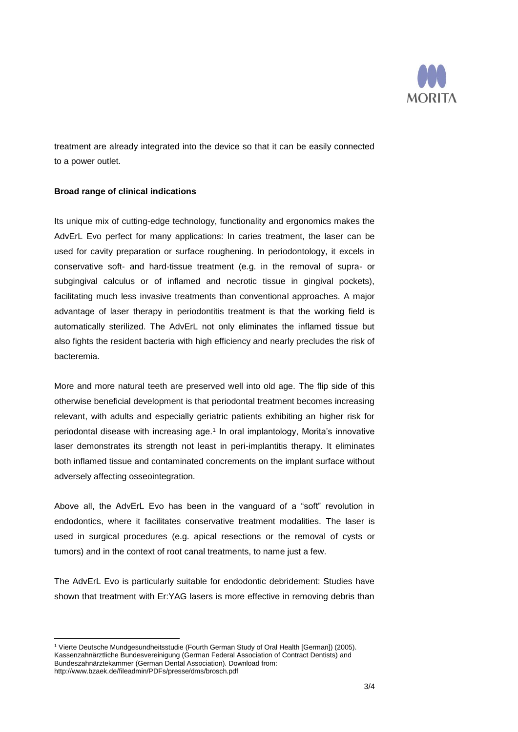

treatment are already integrated into the device so that it can be easily connected to a power outlet.

## **Broad range of clinical indications**

Its unique mix of cutting-edge technology, functionality and ergonomics makes the AdvErL Evo perfect for many applications: In caries treatment, the laser can be used for cavity preparation or surface roughening. In periodontology, it excels in conservative soft- and hard-tissue treatment (e.g. in the removal of supra- or subgingival calculus or of inflamed and necrotic tissue in gingival pockets), facilitating much less invasive treatments than conventional approaches. A major advantage of laser therapy in periodontitis treatment is that the working field is automatically sterilized. The AdvErL not only eliminates the inflamed tissue but also fights the resident bacteria with high efficiency and nearly precludes the risk of bacteremia.

More and more natural teeth are preserved well into old age. The flip side of this otherwise beneficial development is that periodontal treatment becomes increasing relevant, with adults and especially geriatric patients exhibiting an higher risk for periodontal disease with increasing age. 1 In oral implantology, Morita's innovative laser demonstrates its strength not least in peri-implantitis therapy. It eliminates both inflamed tissue and contaminated concrements on the implant surface without adversely affecting osseointegration.

Above all, the AdvErL Evo has been in the vanguard of a "soft" revolution in endodontics, where it facilitates conservative treatment modalities. The laser is used in surgical procedures (e.g. apical resections or the removal of cysts or tumors) and in the context of root canal treatments, to name just a few.

The AdvErL Evo is particularly suitable for endodontic debridement: Studies have shown that treatment with Er:YAG lasers is more effective in removing debris than

 $\overline{a}$ <sup>1</sup> Vierte Deutsche Mundgesundheitsstudie (Fourth German Study of Oral Health [German]) (2005). Kassenzahnärztliche Bundesvereinigung (German Federal Association of Contract Dentists) and Bundeszahnärztekammer (German Dental Association). Download from: http://www.bzaek.de/fileadmin/PDFs/presse/dms/brosch.pdf